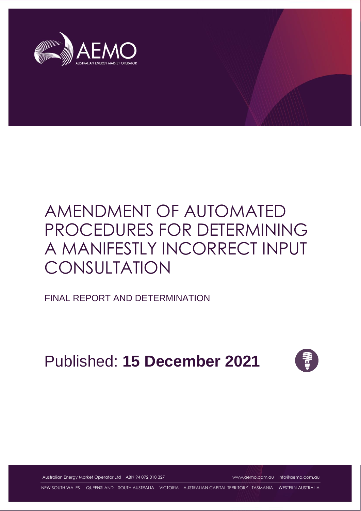

FINAL REPORT AND DETERMINATION

Published: **15 December 2021**



Australian Energy Market Operator Ltd ABN 94 072 010 327 [www.aemo.com.au](http://www.aemo.com.au/) [info@aemo.com.au](mailto:info@aemo.com.au)

NEW SOUTH WALES QUEENSLAND SOUTH AUSTRALIA VICTORIA AUSTRALIAN CAPITAL TERRITORY TASMANIA WESTERN AUSTRALIA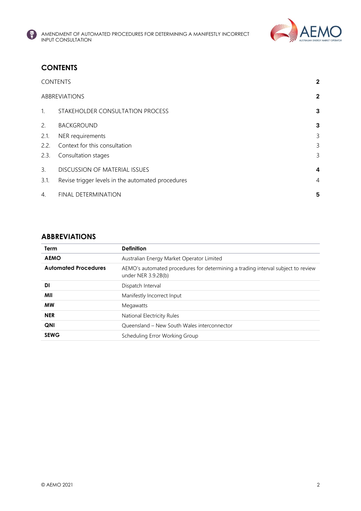



# <span id="page-1-0"></span>**CONTENTS**

|              | <b>CONTENTS</b>                                   | $\mathbf{2}$   |
|--------------|---------------------------------------------------|----------------|
|              | <b>ABBREVIATIONS</b>                              | 2              |
| $\mathbf{1}$ | STAKEHOLDER CONSULTATION PROCESS                  | 3              |
| 2.           | <b>BACKGROUND</b>                                 | 3              |
| 2.1.         | NER requirements                                  | 3              |
| 2.2.         | Context for this consultation                     | 3              |
| 2.3.         | Consultation stages                               | 3              |
| 3.           | <b>DISCUSSION OF MATERIAL ISSUES</b>              | 4              |
| 3.1.         | Revise trigger levels in the automated procedures | $\overline{4}$ |
| 4.           | <b>FINAL DETERMINATION</b>                        | 5              |

# <span id="page-1-1"></span>**ABBREVIATIONS**

| Term                        | <b>Definition</b>                                                                                       |
|-----------------------------|---------------------------------------------------------------------------------------------------------|
| <b>AEMO</b>                 | Australian Energy Market Operator Limited                                                               |
| <b>Automated Procedures</b> | AEMO's automated procedures for determining a trading interval subject to review<br>under NER 3.9.2B(b) |
| DI                          | Dispatch Interval                                                                                       |
| MIL                         | Manifestly Incorrect Input                                                                              |
| <b>MW</b>                   | Megawatts                                                                                               |
| <b>NER</b>                  | National Electricity Rules                                                                              |
| QNI                         | Oueensland – New South Wales interconnector                                                             |
| <b>SEWG</b>                 | Scheduling Error Working Group                                                                          |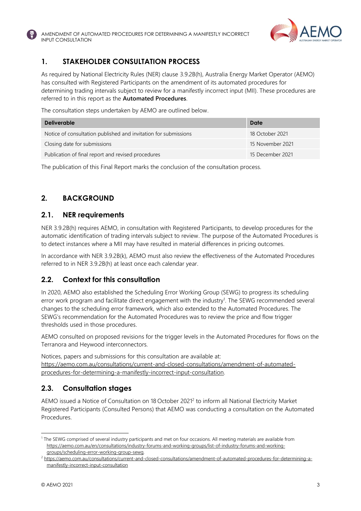



# <span id="page-2-0"></span>**1. STAKEHOLDER CONSULTATION PROCESS**

As required by National Electricity Rules (NER) clause 3.9.2B(h), Australia Energy Market Operator (AEMO) has consulted with Registered Participants on the amendment of its automated procedures for determining trading intervals subject to review for a manifestly incorrect input (MII). These procedures are referred to in this report as the **Automated Procedures**.

The consultation steps undertaken by AEMO are outlined below.

| <b>Deliverable</b>                                              | Date             |
|-----------------------------------------------------------------|------------------|
| Notice of consultation published and invitation for submissions | 18 October 2021  |
| Closing date for submissions                                    | 15 November 2021 |
| Publication of final report and revised procedures              | 15 December 2021 |

The publication of this Final Report marks the conclusion of the consultation process.

# <span id="page-2-1"></span>**2. BACKGROUND**

## <span id="page-2-2"></span>**2.1. NER requirements**

NER 3.9.2B(h) requires AEMO, in consultation with Registered Participants, to develop procedures for the automatic identification of trading intervals subject to review. The purpose of the Automated Procedures is to detect instances where a MII may have resulted in material differences in pricing outcomes.

In accordance with NER 3.9.2B(k), AEMO must also review the effectiveness of the Automated Procedures referred to in NER 3.9.2B(h) at least once each calendar year.

## <span id="page-2-3"></span>**2.2. Context for this consultation**

In 2020, AEMO also established the Scheduling Error Working Group (SEWG) to progress its scheduling error work program and facilitate direct engagement with the industry<sup>1</sup>. The SEWG recommended several changes to the scheduling error framework, which also extended to the Automated Procedures. The SEWG's recommendation for the Automated Procedures was to review the price and flow trigger thresholds used in those procedures.

AEMO consulted on proposed revisions for the trigger levels in the Automated Procedures for flows on the Terranora and Heywood interconnectors.

Notices, papers and submissions for this consultation are available at: [https://aemo.com.au/consultations/current-and-closed-consultations/amendment-of-automated](https://aemo.com.au/consultations/current-and-closed-consultations/amendment-of-automated-procedures-for-determining-a-manifestly-incorrect-input-consultation)[procedures-for-determining-a-manifestly-incorrect-input-consultation.](https://aemo.com.au/consultations/current-and-closed-consultations/amendment-of-automated-procedures-for-determining-a-manifestly-incorrect-input-consultation)

## <span id="page-2-4"></span>**2.3. Consultation stages**

AEMO issued a Notice of Consultation on 18 October 2021<sup>2</sup> to inform all National Electricity Market Registered Participants (Consulted Persons) that AEMO was conducting a consultation on the Automated Procedures.

<sup>1</sup> The SEWG comprised of several industry participants and met on four occasions. All meeting materials are available from [https://aemo.com.au/en/consultations/industry-forums-and-working-groups/list-of-industry-forums-and-working](https://aemo.com.au/en/consultations/industry-forums-and-working-groups/list-of-industry-forums-and-working-groups/scheduling-error-working-group-sewg)[groups/scheduling-error-working-group-sewg.](https://aemo.com.au/en/consultations/industry-forums-and-working-groups/list-of-industry-forums-and-working-groups/scheduling-error-working-group-sewg)

<sup>&</sup>lt;sup>2</sup> [https://aemo.com.au/consultations/current-and-closed-consultations/amendment-of-automated-procedures-for-determining-a](https://aemo.com.au/consultations/current-and-closed-consultations/amendment-of-automated-procedures-for-determining-a-manifestly-incorrect-input-consultation)[manifestly-incorrect-input-consultation](https://aemo.com.au/consultations/current-and-closed-consultations/amendment-of-automated-procedures-for-determining-a-manifestly-incorrect-input-consultation)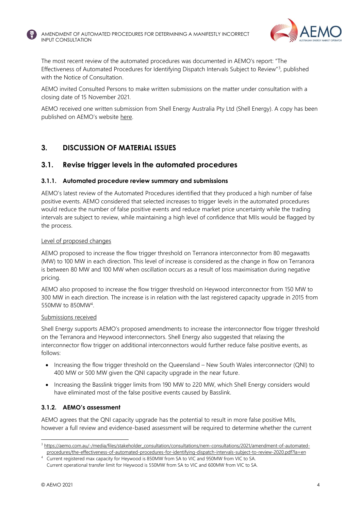



The most recent review of the automated procedures was documented in AEMO's report: "The Effectiveness of Automated Procedures for Identifying Dispatch Intervals Subject to Review"<sup>3</sup>, published with the Notice of Consultation.

AEMO invited Consulted Persons to make written submissions on the matter under consultation with a closing date of 15 November 2021.

AEMO received one written submission from Shell Energy Australia Pty Ltd (Shell Energy). A copy has been published on AEMO's website [here.](https://aemo.com.au/-/media/files/stakeholder_consultation/consultations/nem-consultations/2021/amendment-of-automated-procedures/shell-energy-australia.pdf?la=en)

# <span id="page-3-0"></span>**3. DISCUSSION OF MATERIAL ISSUES**

## <span id="page-3-1"></span>**3.1. Revise trigger levels in the automated procedures**

#### **3.1.1. Automated procedure review summary and submissions**

AEMO's latest review of the Automated Procedures identified that they produced a high number of false positive events. AEMO considered that selected increases to trigger levels in the automated procedures would reduce the number of false positive events and reduce market price uncertainty while the trading intervals are subject to review, while maintaining a high level of confidence that MIIs would be flagged by the process.

#### Level of proposed changes

AEMO proposed to increase the flow trigger threshold on Terranora interconnector from 80 megawatts (MW) to 100 MW in each direction. This level of increase is considered as the change in flow on Terranora is between 80 MW and 100 MW when oscillation occurs as a result of loss maximisation during negative pricing.

AEMO also proposed to increase the flow trigger threshold on Heywood interconnector from 150 MW to 300 MW in each direction. The increase is in relation with the last registered capacity upgrade in 2015 from 550MW to 850MW<sup>4</sup>.

#### Submissions received

Shell Energy supports AEMO's proposed amendments to increase the interconnector flow trigger threshold on the Terranora and Heywood interconnectors. Shell Energy also suggested that relaxing the interconnector flow trigger on additional interconnectors would further reduce false positive events, as follows:

- Increasing the flow trigger threshold on the Queensland New South Wales interconnector (QNI) to 400 MW or 500 MW given the QNI capacity upgrade in the near future.
- Increasing the Basslink trigger limits from 190 MW to 220 MW, which Shell Energy considers would have eliminated most of the false positive events caused by Basslink.

#### **3.1.2. AEMO's assessment**

AEMO agrees that the QNI capacity upgrade has the potential to result in more false positive MIIs, however a full review and evidence-based assessment will be required to determine whether the current

<sup>&</sup>lt;sup>3</sup> [https://aemo.com.au/-/media/files/stakeholder\\_consultation/consultations/nem-consultations/2021/amendment-of-automated](https://aemo.com.au/-/media/files/stakeholder_consultation/consultations/nem-consultations/2021/amendment-of-automated-procedures/the-effectiveness-of-automated-procedures-for-identifying-dispatch-intervals-subject-to-review-2020.pdf?la=en)[procedures/the-effectiveness-of-automated-procedures-for-identifying-dispatch-intervals-subject-to-review-2020.pdf?la=en](https://aemo.com.au/-/media/files/stakeholder_consultation/consultations/nem-consultations/2021/amendment-of-automated-procedures/the-effectiveness-of-automated-procedures-for-identifying-dispatch-intervals-subject-to-review-2020.pdf?la=en)

Current registered max capacity for Heywood is 850MW from SA to VIC and 950MW from VIC to SA. Current operational transfer limit for Heywood is 550MW from SA to VIC and 600MW from VIC to SA.